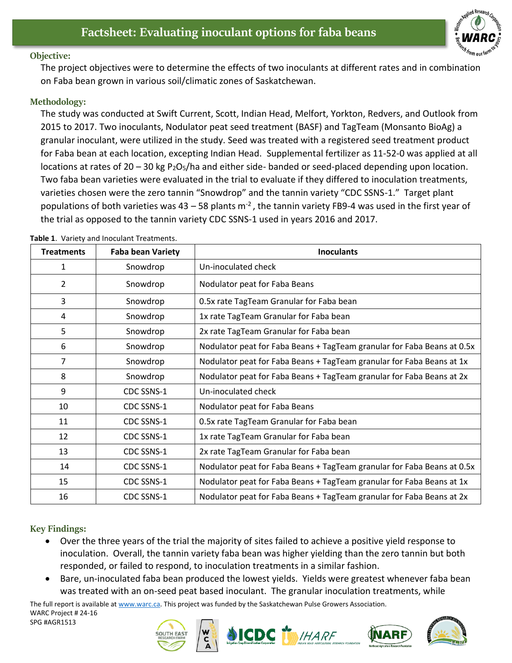

## **Objective:**

The project objectives were to determine the effects of two inoculants at different rates and in combination on Faba bean grown in various soil/climatic zones of Saskatchewan.

## **Methodology:**

The study was conducted at Swift Current, Scott, Indian Head, Melfort, Yorkton, Redvers, and Outlook from 2015 to 2017. Two inoculants, Nodulator peat seed treatment (BASF) and TagTeam (Monsanto BioAg) a granular inoculant, were utilized in the study. Seed was treated with a registered seed treatment product for Faba bean at each location, excepting Indian Head. Supplemental fertilizer as 11-52-0 was applied at all locations at rates of  $20 - 30$  kg P<sub>2</sub>O<sub>5</sub>/ha and either side- banded or seed-placed depending upon location. Two faba bean varieties were evaluated in the trial to evaluate if they differed to inoculation treatments, varieties chosen were the zero tannin "Snowdrop" and the tannin variety "CDC SSNS-1." Target plant populations of both varieties was 43 – 58 plants  $m<sup>-2</sup>$ , the tannin variety FB9-4 was used in the first year of the trial as opposed to the tannin variety CDC SSNS-1 used in years 2016 and 2017.

| <b>Treatments</b> | <b>Faba bean Variety</b> | <b>Inoculants</b>                                                       |
|-------------------|--------------------------|-------------------------------------------------------------------------|
| 1                 | Snowdrop                 | Un-inoculated check                                                     |
| $\overline{2}$    | Snowdrop                 | Nodulator peat for Faba Beans                                           |
| 3                 | Snowdrop                 | 0.5x rate TagTeam Granular for Faba bean                                |
| 4                 | Snowdrop                 | 1x rate TagTeam Granular for Faba bean                                  |
| 5                 | Snowdrop                 | 2x rate TagTeam Granular for Faba bean                                  |
| 6                 | Snowdrop                 | Nodulator peat for Faba Beans + TagTeam granular for Faba Beans at 0.5x |
| 7                 | Snowdrop                 | Nodulator peat for Faba Beans + TagTeam granular for Faba Beans at 1x   |
| 8                 | Snowdrop                 | Nodulator peat for Faba Beans + TagTeam granular for Faba Beans at 2x   |
| 9                 | CDC SSNS-1               | Un-inoculated check                                                     |
| 10                | CDC SSNS-1               | Nodulator peat for Faba Beans                                           |
| 11                | CDC SSNS-1               | 0.5x rate TagTeam Granular for Faba bean                                |
| 12                | CDC SSNS-1               | 1x rate TagTeam Granular for Faba bean                                  |
| 13                | CDC SSNS-1               | 2x rate TagTeam Granular for Faba bean                                  |
| 14                | CDC SSNS-1               | Nodulator peat for Faba Beans + TagTeam granular for Faba Beans at 0.5x |
| 15                | CDC SSNS-1               | Nodulator peat for Faba Beans + TagTeam granular for Faba Beans at 1x   |
| 16                | CDC SSNS-1               | Nodulator peat for Faba Beans + TagTeam granular for Faba Beans at 2x   |

**Table 1**. Variety and Inoculant Treatments.

## **Key Findings:**

- Over the three years of the trial the majority of sites failed to achieve a positive yield response to inoculation. Overall, the tannin variety faba bean was higher yielding than the zero tannin but both responded, or failed to respond, to inoculation treatments in a similar fashion.
- Bare, un-inoculated faba bean produced the lowest yields. Yields were greatest whenever faba bean was treated with an on-seed peat based inoculant. The granular inoculation treatments, while

The full report is available at [www.warc.ca.](http://www.warc.ca/) This project was funded by the Saskatchewan Pulse Growers Association.

WARC Project # 24-16 SPG #AGR1513